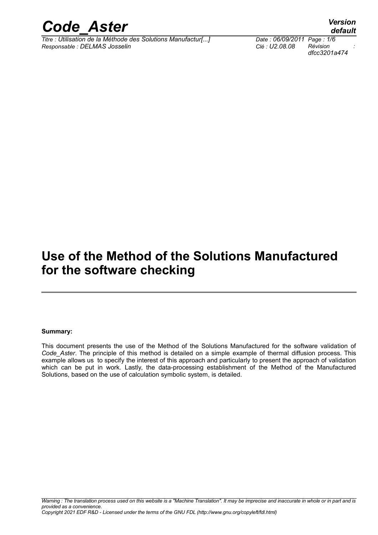

*Titre : Utilisation de la Méthode des Solutions Manufactur[...] Date : 06/09/2011 Page : 1/6 Responsable : DELMAS Josselin Clé : U2.08.08 Révision :*

*dfcc3201a474*

## **Use of the Method of the Solutions Manufactured for the software checking**

#### **Summary:**

This document presents the use of the Method of the Solutions Manufactured for the software validation of *Code\_Aster*. The principle of this method is detailed on a simple example of thermal diffusion process. This example allows us to specify the interest of this approach and particularly to present the approach of validation which can be put in work. Lastly, the data-processing establishment of the Method of the Manufactured Solutions, based on the use of calculation symbolic system, is detailed.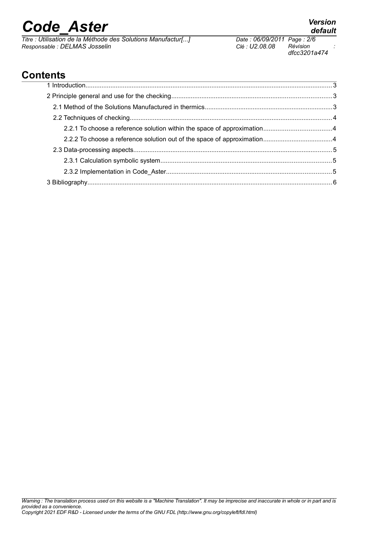*Titre : Utilisation de la Méthode des Solutions Manufactur[...] Date : 06/09/2011 Page : 2/6 Responsable : DELMAS Josselin Clé : U2.08.08 Révision :*

*dfcc3201a474*

### **Contents**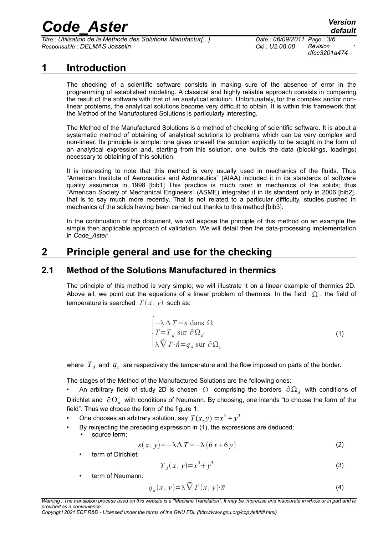*Titre : Utilisation de la Méthode des Solutions Manufactur[...] Date : 06/09/2011 Page : 3/6 Responsable : DELMAS Josselin Clé : U2.08.08 Révision :*

*dfcc3201a474*

### **1 Introduction**

The checking of a scientific software consists in making sure of the absence of error in the programming of established modeling. A classical and highly reliable approach consists in comparing the result of the software with that of an analytical solution. Unfortunately, for the complex and/or nonlinear problems, the analytical solutions become very difficult to obtain. It is within this framework that the Method of the Manufactured Solutions is particularly interesting.

The Method of the Manufactured Solutions is a method of checking of scientific software. It is about a systematic method of obtaining of analytical solutions to problems which can be very complex and non-linear. Its principle is simple: one gives oneself the solution explicitly to be sought in the form of an analytical expression and, starting from this solution, one builds the data (blockings, loadings) necessary to obtaining of this solution.

It is interesting to note that this method is very usually used in mechanics of the fluids. Thus "American Institute of Aeronautics and Astronautics" (AIAA) included it in its standards of software quality assurance in 1998 [bib1] This practice is much rarer in mechanics of the solids; thus "American Society of Mechanical Engineers" (ASME) integrated it in its standard only in 2006 [bib2], that is to say much more recently. That is not related to a particular difficulty, studies pushed in mechanics of the solids having been carried out thanks to this method [bib3].

In the continuation of this document, we will expose the principle of this method on an example the simple then applicable approach of validation. We will detail then the data-processing implementation in *Code\_Aster*.

### **2 Principle general and use for the checking**

#### **2.1 Method of the Solutions Manufactured in thermics**

The principle of this method is very simple; we will illustrate it on a linear example of thermics 2D. Above all, we point out the equations of a linear problem of thermics. In the field  $\Omega$ , the field of temperature is searched  $T(x, y)$  such as:

<span id="page-2-0"></span>
$$
\begin{cases}\n-\lambda \Delta T = s \text{ dans } \Omega \\
T = T_d \text{ sur } \partial \Omega_d \\
\lambda \vec{\nabla} T \cdot \vec{n} = q_n \text{ sur } \partial \Omega_n\n\end{cases}
$$
\n(1)

where  $\left\vert T_{\cdot d}\right\rangle$  and  $\left\vert q_{_{n}}\right\rangle$  are respectively the temperature and the flow imposed on parts of the border.

The stages of the Method of the Manufactured Solutions are the following ones:

• An arbitrary field of study 2D is chosen  $\,\Omega\,$  comprising the borders  $\,\partial\,\Omega_{\it d}\,$  with conditions of Dirichlet and  $\partial\Omega_n^+$  with conditions of Neumann. By choosing, one intends "to choose the form of the field". Thus we choose the form of the figure [1.](#page-3-0)

- One chooses an arbitrary solution, say  $T(x, y) = x^3 + y^3$
- By reinjecting the preceding expression in [\(1\),](#page-2-0) the expressions are deduced:
	- source term;

$$
s(x, y) = -\lambda \Delta T = -\lambda (6x + 6y)
$$
 (2)

term of Dirichlet;

<span id="page-2-2"></span><span id="page-2-1"></span>
$$
T_d(x, y) = x^3 + y^3 \tag{3}
$$

term of Neumann:

$$
q_d(x, y) = \lambda \vec{\nabla} T(x, y) \cdot \vec{n}
$$
 (4)

*Copyright 2021 EDF R&D - Licensed under the terms of the GNU FDL (http://www.gnu.org/copyleft/fdl.html)*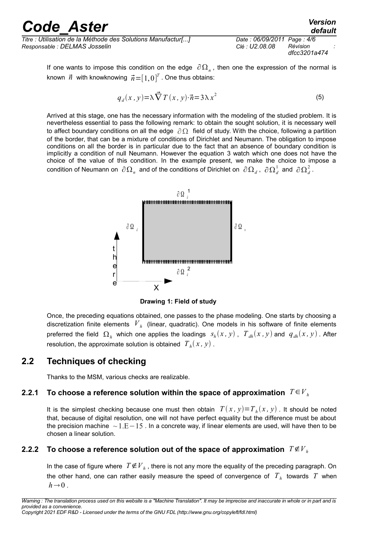*Titre : Utilisation de la Méthode des Solutions Manufactur[...] Date : 06/09/2011 Page : 4/6 Responsable : DELMAS Josselin Clé : U2.08.08 Révision :*

*dfcc3201a474*

*default*

If one wants to impose this condition on the edge  $\partial\Omega_n$ , then one the expression of the normal is known  $\vec{n}$  with knowknowing  $\vec{n}\!=\![1,0]^T$  . One thus obtains:

$$
q_d(x, y) = \lambda \vec{\nabla} T(x, y) \cdot \vec{n} = 3\lambda x^2
$$
 (5)

Arrived at this stage, one has the necessary information with the modeling of the studied problem. It is nevertheless essential to pass the following remark: to obtain the sought solution, it is necessary well to affect boundary conditions on all the edge  $\partial \Omega$  field of study. With the choice, following a partition of the border, that can be a mixture of conditions of Dirichlet and Neumann. The obligation to impose conditions on all the border is in particular due to the fact that an absence of boundary condition is implicitly a condition of null Neumann. However the equation [3](#page-2-1) watch which one does not have the choice of the value of this condition. In the example present, we make the choice to impose a  $\,$  condition of Neumann on  $\,\partial\,{\Omega}_n\,$  and of the conditions of Dirichlet on  $\,\partial\,{\Omega}_d$  ,  $\,\partial\,{\Omega}_d^1\,$  and  $\,\partial\,{\Omega}_d^2$  .



<span id="page-3-0"></span>**Drawing 1: Field of study**

Once, the preceding equations obtained, one passes to the phase modeling. One starts by choosing a discretization finite elements *V<sup>h</sup>* (linear, quadratic). One models in his software of finite elements preferred the field  $\Omega_h$  which one applies the loadings  $s_h(x, y)$ ,  $T_{dh}(x, y)$  and  $q_{dh}(x, y)$ . After resolution, the approximate solution is obtained  $\left\langle T_h(x,y)\right\rangle$  .

#### **2.2 Techniques of checking**

Thanks to the MSM, various checks are realizable.

#### **2.2.1** To choose a reference solution within the space of approximation  $T \in V_h$

It is the simplest checking because one must then obtain  $T(x, y)=T_h(x, y)$  . It should be noted that, because of digital resolution, one will not have perfect equality but the difference must be about the precision machine  $\sim 1.E-15$ . In a concrete way, if linear elements are used, will have then to be chosen a linear solution.

#### **2.2.2** To choose a reference solution out of the space of approximation  $T \notin V_h$

In the case of figure where  $T{\not\in} V_{h}$  , there is not any more the equality of the preceding paragraph. On the other hand, one can rather easily measure the speed of convergence of *T<sup>h</sup>* towards *T* when  $h \rightarrow 0$ .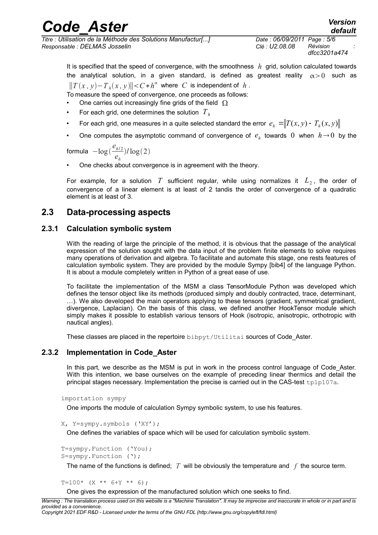*Titre : Utilisation de la Méthode des Solutions Manufactur[...] Date : 06/09/2011 Page : 5/6 Responsable : DELMAS Josselin Clé : U2.08.08 Révision :*

*dfcc3201a474*

It is specified that the speed of convergence, with the smoothness  $h$  grid, solution calculated towards the analytical solution, in a given standard, is defined as greatest reality  $\alpha > 0$  such as  $||T(x, y) - T_h(x, y)|| < C * h^{\alpha}$  where *C* is independent of *h*.

To measure the speed of convergence, one proceeds as follows:

- One carries out increasingly fine grids of the field  $\Omega$
- For each grid, one determines the solution *T<sup>h</sup>*
- For each grid, one measures in a quite selected standard the error  $e_{_h} = \parallel T(x,y)$   $T_{_h}(x,y)$
- One computes the asymptotic command of convergence of  $e_h$  towards 0 when  $h\rightarrow 0$  by the

formula −log *e<sup>h</sup>*/ <sup>2</sup> *eh*  $)/log(2)$ 

One checks about convergence is in agreement with the theorv.

For example, for a solution  $\ T$  sufficient regular, while using normalizes it  $\ L_{2}$ , the order of convergence of a linear element is at least of 2 tandis the order of convergence of a quadratic element is at least of 3.

#### **2.3 Data-processing aspects**

#### **2.3.1 Calculation symbolic system**

With the reading of large the principle of the method, it is obvious that the passage of the analytical expression of the solution sought with the data input of the problem finite elements to solve requires many operations of derivation and algebra. To facilitate and automate this stage, one rests features of calculation symbolic system. They are provided by the module Sympy [bib4] of the language Python. It is about a module completely written in Python of a great ease of use.

To facilitate the implementation of the MSM a class TensorModule Python was developed which defines the tensor object like its methods (produced simply and doubly contracted, trace, determinant, …). We also developed the main operators applying to these tensors (gradient, symmetrical gradient, divergence, Laplacian). On the basis of this class, we defined another HookTensor module which simply makes it possible to establish various tensors of Hook (isotropic, anisotropic, orthotropic with nautical angles).

These classes are placed in the repertoire bibpyt/Utilitai sources of Code Aster.

#### **2.3.2 Implementation in Code\_Aster**

In this part, we describe as the MSM is put in work in the process control language of Code Aster. With this intention, we base ourselves on the example of preceding linear thermics and detail the principal stages necessary. Implementation the precise is carried out in the CAS-test tplp107a.

```
importation sympy
```
One imports the module of calculation Sympy symbolic system, to use his features.

```
X, Y=sympy.symbols ('XY');
```
One defines the variables of space which will be used for calculation symbolic system.

T=sympy.Function ('You); S=sympy.Function (');

The name of the functions is defined; *T* will be obviously the temperature and *f* the source term.

 $T=100*$  (X \*\* 6+Y \*\* 6);

One gives the expression of the manufactured solution which one seeks to find.

*Copyright 2021 EDF R&D - Licensed under the terms of the GNU FDL (http://www.gnu.org/copyleft/fdl.html)*